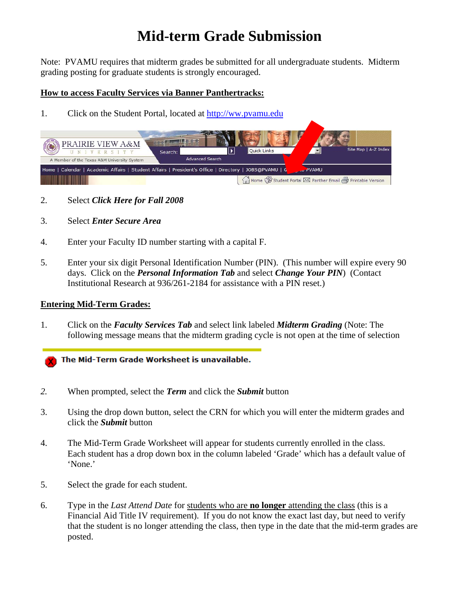## **Mid-term Grade Submission**

Note: PVAMU requires that midterm grades be submitted for all undergraduate students. Midterm grading posting for graduate students is strongly encouraged.

## **How to access Faculty Services via Banner Panthertracks:**

1. Click on the Student Portal, located at http://ww.pvamu.edu

| PRAIRIE VIEW A&M<br><b>UVERSITY</b><br>Search:<br>A Member of the Texas A&M University System                          | Quick Links<br><b>Advanced Search</b> | Site Map   A-Z Index                                    |
|------------------------------------------------------------------------------------------------------------------------|---------------------------------------|---------------------------------------------------------|
| Home   Calendar   Academic Affairs   Student Affairs   President's Office   Directory   JOBS@PVAMU   G<br><b>PVAMU</b> |                                       |                                                         |
|                                                                                                                        |                                       | Home Student Portal M Panther Email S Printable Version |

- 2. Select *Click Here for Fall 2008*
- 3. Select *Enter Secure Area*
- 4. Enter your Faculty ID number starting with a capital F.
- 5. Enter your six digit Personal Identification Number (PIN). (This number will expire every 90 days. Click on the *Personal Information Tab* and select *Change Your PIN*) (Contact Institutional Research at 936/261-2184 for assistance with a PIN reset.)

## **Entering Mid-Term Grades:**

1. Click on the *Faculty Services Tab* and select link labeled *Midterm Grading* (Note: The following message means that the midterm grading cycle is not open at the time of selection

The Mid-Term Grade Worksheet is unavailable.

- *2.* When prompted, select the *Term* and click the *Submit* button
- 3. Using the drop down button, select the CRN for which you will enter the midterm grades and click the *Submit* button
- 4. The Mid-Term Grade Worksheet will appear for students currently enrolled in the class. Each student has a drop down box in the column labeled 'Grade' which has a default value of 'None.'
- 5. Select the grade for each student.
- 6. Type in the *Last Attend Date* for students who are **no longer** attending the class (this is a Financial Aid Title IV requirement). If you do not know the exact last day, but need to verify that the student is no longer attending the class, then type in the date that the mid-term grades are posted.